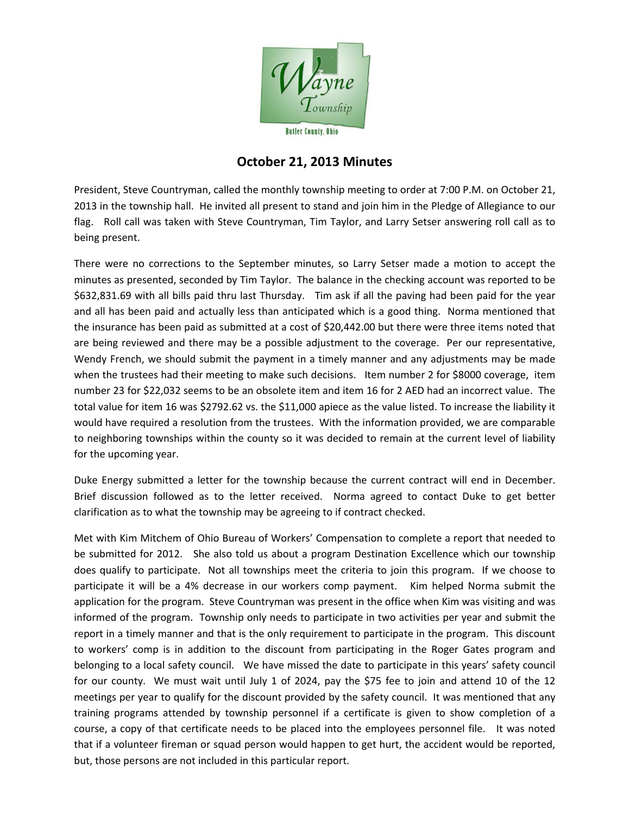

## **October 21, 2013 Minutes**

President, Steve Countryman, called the monthly township meeting to order at 7:00 P.M. on October 21, 2013 in the township hall. He invited all present to stand and join him in the Pledge of Allegiance to our flag. Roll call was taken with Steve Countryman, Tim Taylor, and Larry Setser answering roll call as to being present.

There were no corrections to the September minutes, so Larry Setser made a motion to accept the minutes as presented, seconded by Tim Taylor. The balance in the checking account was reported to be \$632,831.69 with all bills paid thru last Thursday. Tim ask if all the paving had been paid for the year and all has been paid and actually less than anticipated which is a good thing. Norma mentioned that the insurance has been paid as submitted at a cost of \$20,442.00 but there were three items noted that are being reviewed and there may be a possible adjustment to the coverage. Per our representative, Wendy French, we should submit the payment in a timely manner and any adjustments may be made when the trustees had their meeting to make such decisions. Item number 2 for \$8000 coverage, item number 23 for \$22,032 seems to be an obsolete item and item 16 for 2 AED had an incorrect value. The total value for item 16 was \$2792.62 vs. the \$11,000 apiece as the value listed. To increase the liability it would have required a resolution from the trustees. With the information provided, we are comparable to neighboring townships within the county so it was decided to remain at the current level of liability for the upcoming year.

Duke Energy submitted a letter for the township because the current contract will end in December. Brief discussion followed as to the letter received. Norma agreed to contact Duke to get better clarification as to what the township may be agreeing to if contract checked.

Met with Kim Mitchem of Ohio Bureau of Workers' Compensation to complete a report that needed to be submitted for 2012. She also told us about a program Destination Excellence which our township does qualify to participate. Not all townships meet the criteria to join this program. If we choose to participate it will be a 4% decrease in our workers comp payment. Kim helped Norma submit the application for the program. Steve Countryman was present in the office when Kim was visiting and was informed of the program. Township only needs to participate in two activities per year and submit the report in a timely manner and that is the only requirement to participate in the program. This discount to workers' comp is in addition to the discount from participating in the Roger Gates program and belonging to a local safety council. We have missed the date to participate in this years' safety council for our county. We must wait until July 1 of 2024, pay the \$75 fee to join and attend 10 of the 12 meetings per year to qualify for the discount provided by the safety council. It was mentioned that any training programs attended by township personnel if a certificate is given to show completion of a course, a copy of that certificate needs to be placed into the employees personnel file. It was noted that if a volunteer fireman or squad person would happen to get hurt, the accident would be reported, but, those persons are not included in this particular report.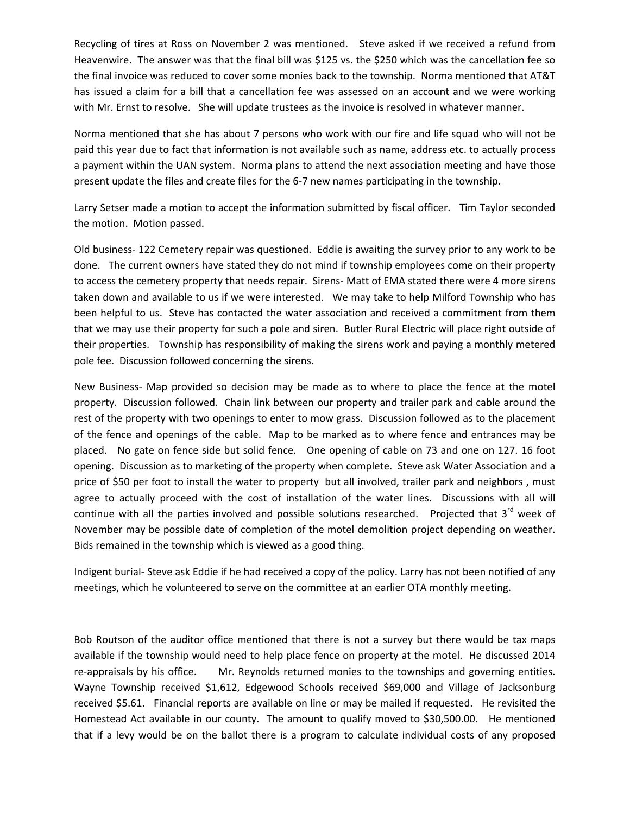Recycling of tires at Ross on November 2 was mentioned. Steve asked if we received a refund from Heavenwire. The answer was that the final bill was \$125 vs. the \$250 which was the cancellation fee so the final invoice was reduced to cover some monies back to the township. Norma mentioned that AT&T has issued a claim for a bill that a cancellation fee was assessed on an account and we were working with Mr. Ernst to resolve. She will update trustees as the invoice is resolved in whatever manner.

Norma mentioned that she has about 7 persons who work with our fire and life squad who will not be paid this year due to fact that information is not available such as name, address etc. to actually process a payment within the UAN system. Norma plans to attend the next association meeting and have those present update the files and create files for the 6‐7 new names participating in the township.

Larry Setser made a motion to accept the information submitted by fiscal officer. Tim Taylor seconded the motion. Motion passed.

Old business‐ 122 Cemetery repair was questioned. Eddie is awaiting the survey prior to any work to be done. The current owners have stated they do not mind if township employees come on their property to access the cemetery property that needs repair. Sirens- Matt of EMA stated there were 4 more sirens taken down and available to us if we were interested. We may take to help Milford Township who has been helpful to us. Steve has contacted the water association and received a commitment from them that we may use their property for such a pole and siren. Butler Rural Electric will place right outside of their properties. Township has responsibility of making the sirens work and paying a monthly metered pole fee. Discussion followed concerning the sirens.

New Business‐ Map provided so decision may be made as to where to place the fence at the motel property. Discussion followed. Chain link between our property and trailer park and cable around the rest of the property with two openings to enter to mow grass. Discussion followed as to the placement of the fence and openings of the cable. Map to be marked as to where fence and entrances may be placed. No gate on fence side but solid fence. One opening of cable on 73 and one on 127. 16 foot opening. Discussion as to marketing of the property when complete. Steve ask Water Association and a price of \$50 per foot to install the water to property but all involved, trailer park and neighbors , must agree to actually proceed with the cost of installation of the water lines. Discussions with all will continue with all the parties involved and possible solutions researched. Projected that 3<sup>rd</sup> week of November may be possible date of completion of the motel demolition project depending on weather. Bids remained in the township which is viewed as a good thing.

Indigent burial‐ Steve ask Eddie if he had received a copy of the policy. Larry has not been notified of any meetings, which he volunteered to serve on the committee at an earlier OTA monthly meeting.

Bob Routson of the auditor office mentioned that there is not a survey but there would be tax maps available if the township would need to help place fence on property at the motel. He discussed 2014 re-appraisals by his office. Mr. Reynolds returned monies to the townships and governing entities. Wayne Township received \$1,612, Edgewood Schools received \$69,000 and Village of Jacksonburg received \$5.61. Financial reports are available on line or may be mailed if requested. He revisited the Homestead Act available in our county. The amount to qualify moved to \$30,500.00. He mentioned that if a levy would be on the ballot there is a program to calculate individual costs of any proposed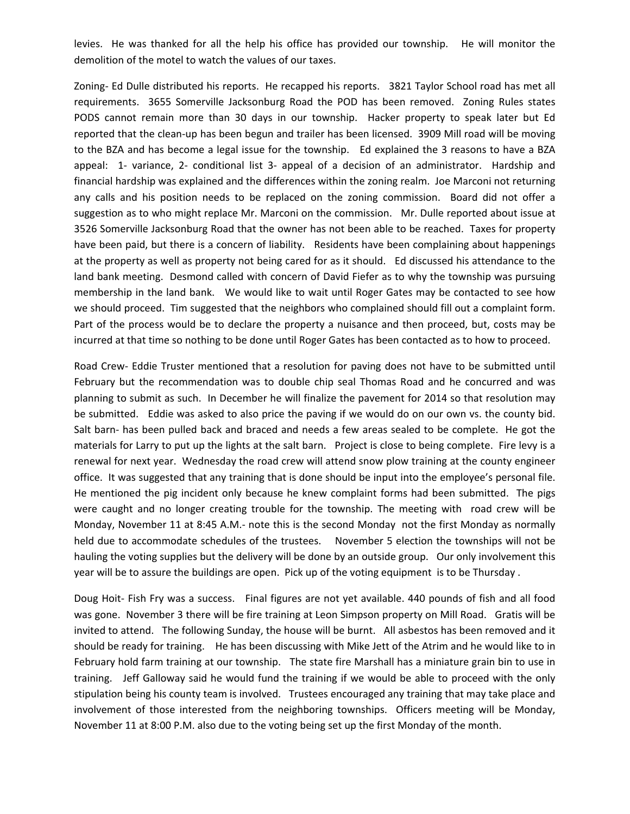levies. He was thanked for all the help his office has provided our township. He will monitor the demolition of the motel to watch the values of our taxes.

Zoning- Ed Dulle distributed his reports. He recapped his reports. 3821 Taylor School road has met all requirements. 3655 Somerville Jacksonburg Road the POD has been removed. Zoning Rules states PODS cannot remain more than 30 days in our township. Hacker property to speak later but Ed reported that the clean-up has been begun and trailer has been licensed. 3909 Mill road will be moving to the BZA and has become a legal issue for the township. Ed explained the 3 reasons to have a BZA appeal: 1‐ variance, 2‐ conditional list 3‐ appeal of a decision of an administrator. Hardship and financial hardship was explained and the differences within the zoning realm. Joe Marconi not returning any calls and his position needs to be replaced on the zoning commission. Board did not offer a suggestion as to who might replace Mr. Marconi on the commission. Mr. Dulle reported about issue at 3526 Somerville Jacksonburg Road that the owner has not been able to be reached. Taxes for property have been paid, but there is a concern of liability. Residents have been complaining about happenings at the property as well as property not being cared for as it should. Ed discussed his attendance to the land bank meeting. Desmond called with concern of David Fiefer as to why the township was pursuing membership in the land bank. We would like to wait until Roger Gates may be contacted to see how we should proceed. Tim suggested that the neighbors who complained should fill out a complaint form. Part of the process would be to declare the property a nuisance and then proceed, but, costs may be incurred at that time so nothing to be done until Roger Gates has been contacted as to how to proceed.

Road Crew‐ Eddie Truster mentioned that a resolution for paving does not have to be submitted until February but the recommendation was to double chip seal Thomas Road and he concurred and was planning to submit as such. In December he will finalize the pavement for 2014 so that resolution may be submitted. Eddie was asked to also price the paving if we would do on our own vs. the county bid. Salt barn- has been pulled back and braced and needs a few areas sealed to be complete. He got the materials for Larry to put up the lights at the salt barn. Project is close to being complete. Fire levy is a renewal for next year. Wednesday the road crew will attend snow plow training at the county engineer office. It was suggested that any training that is done should be input into the employee's personal file. He mentioned the pig incident only because he knew complaint forms had been submitted. The pigs were caught and no longer creating trouble for the township. The meeting with road crew will be Monday, November 11 at 8:45 A.M.‐ note this is the second Monday not the first Monday as normally held due to accommodate schedules of the trustees. November 5 election the townships will not be hauling the voting supplies but the delivery will be done by an outside group. Our only involvement this year will be to assure the buildings are open. Pick up of the voting equipment is to be Thursday .

Doug Hoit‐ Fish Fry was a success. Final figures are not yet available. 440 pounds of fish and all food was gone. November 3 there will be fire training at Leon Simpson property on Mill Road. Gratis will be invited to attend. The following Sunday, the house will be burnt. All asbestos has been removed and it should be ready for training. He has been discussing with Mike Jett of the Atrim and he would like to in February hold farm training at our township. The state fire Marshall has a miniature grain bin to use in training. Jeff Galloway said he would fund the training if we would be able to proceed with the only stipulation being his county team is involved. Trustees encouraged any training that may take place and involvement of those interested from the neighboring townships. Officers meeting will be Monday, November 11 at 8:00 P.M. also due to the voting being set up the first Monday of the month.